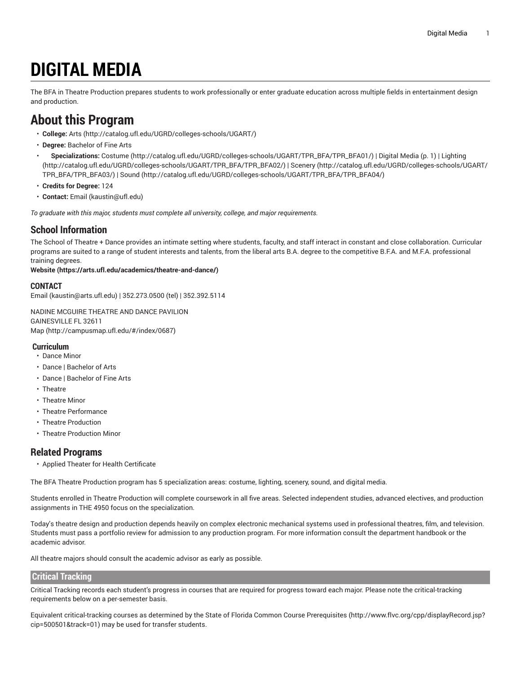# **DIGITAL MEDIA**

<span id="page-0-0"></span>The BFA in Theatre Production prepares students to work professionally or enter graduate education across multiple fields in entertainment design and production.

# **About this Program**

- **College:** [Arts](http://catalog.ufl.edu/UGRD/colleges-schools/UGART/) ([http://catalog.ufl.edu/UGRD/colleges-schools/UGART/\)](http://catalog.ufl.edu/UGRD/colleges-schools/UGART/)
- **Degree:** Bachelor of Fine Arts
- **Specializations:** [Costume \(http://catalog.ufl.edu/UGRD/colleges-schools/UGART/TPR\\_BFA/TPR\\_BFA01/\)](http://catalog.ufl.edu/UGRD/colleges-schools/UGART/TPR_BFA/TPR_BFA01/) | [Digital Media \(p. 1](#page-0-0)) | [Lighting](http://catalog.ufl.edu/UGRD/colleges-schools/UGART/TPR_BFA/TPR_BFA02/) ([http://catalog.ufl.edu/UGRD/colleges-schools/UGART/TPR\\_BFA/TPR\\_BFA02/](http://catalog.ufl.edu/UGRD/colleges-schools/UGART/TPR_BFA/TPR_BFA02/)) | [Scenery \(http://catalog.ufl.edu/UGRD/colleges-schools/UGART/](http://catalog.ufl.edu/UGRD/colleges-schools/UGART/TPR_BFA/TPR_BFA03/) [TPR\\_BFA/TPR\\_BFA03/\)](http://catalog.ufl.edu/UGRD/colleges-schools/UGART/TPR_BFA/TPR_BFA03/) | [Sound](http://catalog.ufl.edu/UGRD/colleges-schools/UGART/TPR_BFA/TPR_BFA04/) ([http://catalog.ufl.edu/UGRD/colleges-schools/UGART/TPR\\_BFA/TPR\\_BFA04/](http://catalog.ufl.edu/UGRD/colleges-schools/UGART/TPR_BFA/TPR_BFA04/))
- **Credits for Degree:** 124
- **Contact:** [Email](mailto:kaustin@ufl.edu) [\(kaustin@ufl.edu\)](kaustin@ufl.edu)

*To graduate with this major, students must complete all university, college, and major requirements.*

### **School Information**

The School of Theatre + Dance provides an intimate setting where students, faculty, and staff interact in constant and close collaboration. Curricular programs are suited to a range of student interests and talents, from the liberal arts B.A. degree to the competitive B.F.A. and M.F.A. professional training degrees.

#### **[Website](https://arts.ufl.edu/academics/theatre-and-dance/) (<https://arts.ufl.edu/academics/theatre-and-dance/>)**

#### **CONTACT**

[Email](mailto:kaustin@arts.ufl.edu) (<kaustin@arts.ufl.edu>) | 352.273.0500 (tel) | 352.392.5114

NADINE MCGUIRE THEATRE AND DANCE PAVILION GAINESVILLE FL 32611 [Map](http://campusmap.ufl.edu/#/index/0687) ([http://campusmap.ufl.edu/#/index/0687\)](http://campusmap.ufl.edu/#/index/0687)

#### **Curriculum**

- Dance Minor
- Dance | Bachelor of Arts
- Dance | Bachelor of Fine Arts
- Theatre
- Theatre Minor
- Theatre Performance
- Theatre Production
- Theatre Production Minor

#### **Related Programs**

• Applied Theater for Health Certificate

The BFA Theatre Production program has 5 specialization areas: costume, lighting, scenery, sound, and digital media.

Students enrolled in Theatre Production will complete coursework in all five areas. Selected independent studies, advanced electives, and production assignments in THE 4950 focus on the specialization.

Today's theatre design and production depends heavily on complex electronic mechanical systems used in professional theatres, film, and television. Students must pass a portfolio review for admission to any production program. For more information consult the department handbook or the academic advisor.

All theatre majors should consult the academic advisor as early as possible.

#### **Critical Tracking**

Critical Tracking records each student's progress in courses that are required for progress toward each major. Please note the critical-tracking requirements below on a per-semester basis.

Equivalent critical-tracking courses as determined by the State of Florida Common Course [Prerequisites](http://www.flvc.org/cpp/displayRecord.jsp?cip=500501&track=01) ([http://www.flvc.org/cpp/displayRecord.jsp?](http://www.flvc.org/cpp/displayRecord.jsp?cip=500501&track=01) [cip=500501&track=01\)](http://www.flvc.org/cpp/displayRecord.jsp?cip=500501&track=01) may be used for transfer students.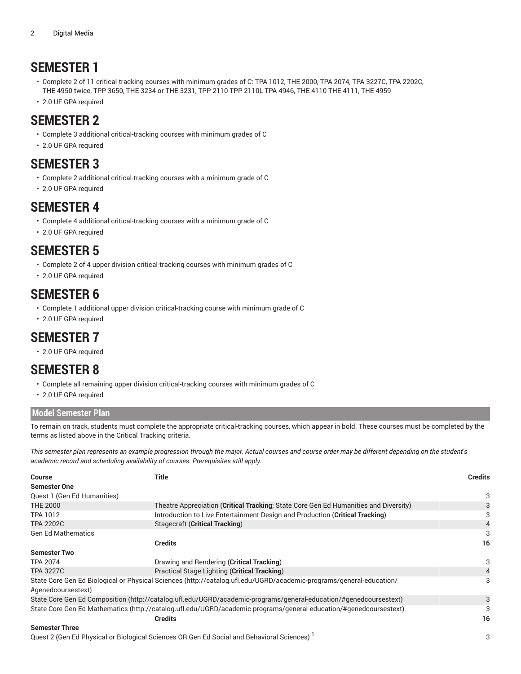# **SEMESTER 1**

- Complete 2 of 11 critical-tracking courses with minimum grades of C: TPA 1012, THE 2000, TPA 2074, TPA 3227C, TPA 2202C, THE 4950 twice, TPP 3650, THE 3234 or THE 3231, TPP 2110 TPP 2110L TPA 4946, THE 4110 THE 4111, THE 4959
- 2.0 UF GPA required

# **SEMESTER 2**

- Complete 3 additional critical-tracking courses with minimum grades of C
- 2.0 UF GPA required

# **SEMESTER 3**

- Complete 2 additional critical-tracking courses with a minimum grade of C
- 2.0 UF GPA required

# **SEMESTER 4**

- Complete 4 additional critical-tracking courses with a minimum grade of C
- 2.0 UF GPA required

# **SEMESTER 5**

- Complete 2 of 4 upper division critical-tracking courses with minimum grades of C
- 2.0 UF GPA required

# **SEMESTER 6**

- Complete 1 additional upper division critical-tracking course with minimum grade of C
- 2.0 UF GPA required

# **SEMESTER 7**

• 2.0 UF GPA required

# **SEMESTER 8**

- Complete all remaining upper division critical-tracking courses with minimum grades of C
- 2.0 UF GPA required

### **Model Semester Plan**

To remain on track, students must complete the appropriate critical-tracking courses, which appear in bold. These courses must be completed by the terms as listed above in the Critical Tracking criteria.

This semester plan represents an example progression through the major. Actual courses and course order may be different depending on the student's *academic record and scheduling availability of courses. Prerequisites still apply.*

| <b>Course</b>                                                                                                       | <b>Title</b>                                                                         | <b>Credits</b> |  |  |
|---------------------------------------------------------------------------------------------------------------------|--------------------------------------------------------------------------------------|----------------|--|--|
| <b>Semester One</b>                                                                                                 |                                                                                      |                |  |  |
| Quest 1 (Gen Ed Humanities)                                                                                         |                                                                                      | 3              |  |  |
| <b>THE 2000</b>                                                                                                     | Theatre Appreciation (Critical Tracking; State Core Gen Ed Humanities and Diversity) |                |  |  |
| <b>TPA 1012</b>                                                                                                     |                                                                                      |                |  |  |
| <b>TPA 2202C</b>                                                                                                    | $\overline{4}$                                                                       |                |  |  |
| <b>Gen Ed Mathematics</b>                                                                                           |                                                                                      | 3              |  |  |
|                                                                                                                     | <b>Credits</b>                                                                       | 16             |  |  |
| <b>Semester Two</b>                                                                                                 |                                                                                      |                |  |  |
| <b>TPA 2074</b>                                                                                                     | Drawing and Rendering (Critical Tracking)                                            | 3              |  |  |
| <b>TPA 3227C</b>                                                                                                    | Practical Stage Lighting (Critical Tracking)                                         |                |  |  |
| State Core Gen Ed Biological or Physical Sciences (http://catalog.ufl.edu/UGRD/academic-programs/general-education/ |                                                                                      |                |  |  |
| #genedcoursestext)                                                                                                  |                                                                                      |                |  |  |
| State Core Gen Ed Composition (http://catalog.ufl.edu/UGRD/academic-programs/general-education/#genedcoursestext)   |                                                                                      |                |  |  |
| State Core Gen Ed Mathematics (http://catalog.ufl.edu/UGRD/academic-programs/general-education/#genedcoursestext)   |                                                                                      |                |  |  |
| <b>Credits</b>                                                                                                      |                                                                                      |                |  |  |
| Osmandar Thurs                                                                                                      |                                                                                      |                |  |  |

#### **Semester Three**

Quest 2 (Gen Ed Physical or Biological Sciences OR Gen Ed Social and Behavioral Sciences)  $^{\mathrm{1}}$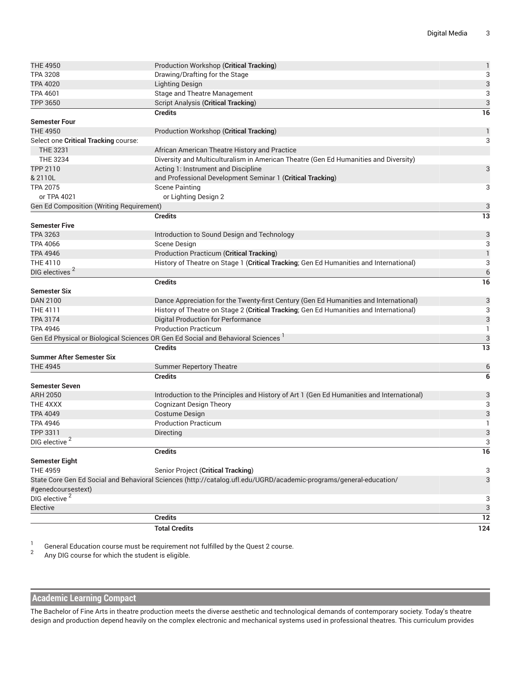| <b>THE 4950</b>                          | Production Workshop (Critical Tracking)                                                                            | $\mathbf{1}$     |  |  |
|------------------------------------------|--------------------------------------------------------------------------------------------------------------------|------------------|--|--|
| <b>TPA 3208</b>                          | Drawing/Drafting for the Stage                                                                                     |                  |  |  |
| <b>TPA 4020</b>                          | <b>Lighting Design</b>                                                                                             | 3                |  |  |
| <b>TPA 4601</b>                          | Stage and Theatre Management                                                                                       | 3                |  |  |
| TPP 3650                                 | <b>Script Analysis (Critical Tracking)</b>                                                                         | $\mathbf{3}$     |  |  |
|                                          | <b>Credits</b>                                                                                                     | 16               |  |  |
| <b>Semester Four</b>                     |                                                                                                                    |                  |  |  |
| <b>THE 4950</b>                          | Production Workshop (Critical Tracking)                                                                            | $\mathbf{1}$     |  |  |
| Select one Critical Tracking course:     |                                                                                                                    | 3                |  |  |
| <b>THE 3231</b>                          | African American Theatre History and Practice                                                                      |                  |  |  |
| <b>THE 3234</b>                          | Diversity and Multiculturalism in American Theatre (Gen Ed Humanities and Diversity)                               |                  |  |  |
| TPP 2110                                 | Acting 1: Instrument and Discipline                                                                                | 3                |  |  |
| & 2110L                                  | and Professional Development Seminar 1 (Critical Tracking)                                                         |                  |  |  |
| <b>TPA 2075</b>                          | <b>Scene Painting</b>                                                                                              | 3                |  |  |
| or TPA 4021                              | or Lighting Design 2                                                                                               |                  |  |  |
| Gen Ed Composition (Writing Requirement) |                                                                                                                    | 3                |  |  |
|                                          | <b>Credits</b>                                                                                                     | 13               |  |  |
| <b>Semester Five</b>                     |                                                                                                                    |                  |  |  |
| <b>TPA 3263</b>                          | Introduction to Sound Design and Technology                                                                        | 3                |  |  |
| <b>TPA 4066</b>                          | Scene Design                                                                                                       | 3                |  |  |
| <b>TPA 4946</b>                          | <b>Production Practicum (Critical Tracking)</b>                                                                    | $\mathbf{1}$     |  |  |
| THE 4110                                 | History of Theatre on Stage 1 (Critical Tracking; Gen Ed Humanities and International)                             | 3                |  |  |
| DIG electives <sup>2</sup>               |                                                                                                                    | $\boldsymbol{6}$ |  |  |
|                                          | <b>Credits</b>                                                                                                     | 16               |  |  |
| <b>Semester Six</b>                      |                                                                                                                    |                  |  |  |
| <b>DAN 2100</b>                          | Dance Appreciation for the Twenty-first Century (Gen Ed Humanities and International)                              | 3                |  |  |
| THE 4111                                 | History of Theatre on Stage 2 (Critical Tracking; Gen Ed Humanities and International)                             | 3                |  |  |
| TPA 3174                                 | <b>Digital Production for Performance</b>                                                                          | 3                |  |  |
| <b>TPA 4946</b>                          | <b>Production Practicum</b>                                                                                        | $\mathbf{1}$     |  |  |
|                                          | Gen Ed Physical or Biological Sciences OR Gen Ed Social and Behavioral Sciences <sup>1</sup>                       | 3                |  |  |
|                                          | <b>Credits</b>                                                                                                     | 13               |  |  |
| <b>Summer After Semester Six</b>         |                                                                                                                    |                  |  |  |
| <b>THE 4945</b>                          | <b>Summer Repertory Theatre</b>                                                                                    | 6                |  |  |
|                                          | <b>Credits</b>                                                                                                     | 6                |  |  |
| <b>Semester Seven</b>                    |                                                                                                                    |                  |  |  |
| <b>ARH 2050</b>                          | Introduction to the Principles and History of Art 1 (Gen Ed Humanities and International)                          | 3                |  |  |
| THE 4XXX                                 | <b>Cognizant Design Theory</b>                                                                                     | 3                |  |  |
| <b>TPA 4049</b>                          | <b>Costume Design</b>                                                                                              | 3                |  |  |
| <b>TPA 4946</b>                          | <b>Production Practicum</b>                                                                                        | 1                |  |  |
| TPP 3311                                 | Directing                                                                                                          | 3                |  |  |
| DIG elective                             |                                                                                                                    | 3                |  |  |
|                                          | <b>Credits</b>                                                                                                     | 16               |  |  |
| <b>Semester Eight</b>                    |                                                                                                                    |                  |  |  |
| <b>THE 4959</b>                          | Senior Project (Critical Tracking)                                                                                 | 3                |  |  |
|                                          | State Core Gen Ed Social and Behavioral Sciences (http://catalog.ufl.edu/UGRD/academic-programs/general-education/ | 3                |  |  |
| #genedcoursestext)                       |                                                                                                                    |                  |  |  |
| DIG elective <sup>2</sup>                |                                                                                                                    | 3                |  |  |
| Elective                                 |                                                                                                                    | 3                |  |  |
|                                          | <b>Credits</b>                                                                                                     | 12               |  |  |
|                                          | <b>Total Credits</b>                                                                                               | 124              |  |  |
|                                          |                                                                                                                    |                  |  |  |

1 General Education course must be requirement not fulfilled by the Quest 2 course.

2 Any DIG course for which the student is eligible.

### **Academic Learning Compact**

The Bachelor of Fine Arts in theatre production meets the diverse aesthetic and technological demands of contemporary society. Today's theatre design and production depend heavily on the complex electronic and mechanical systems used in professional theatres. This curriculum provides